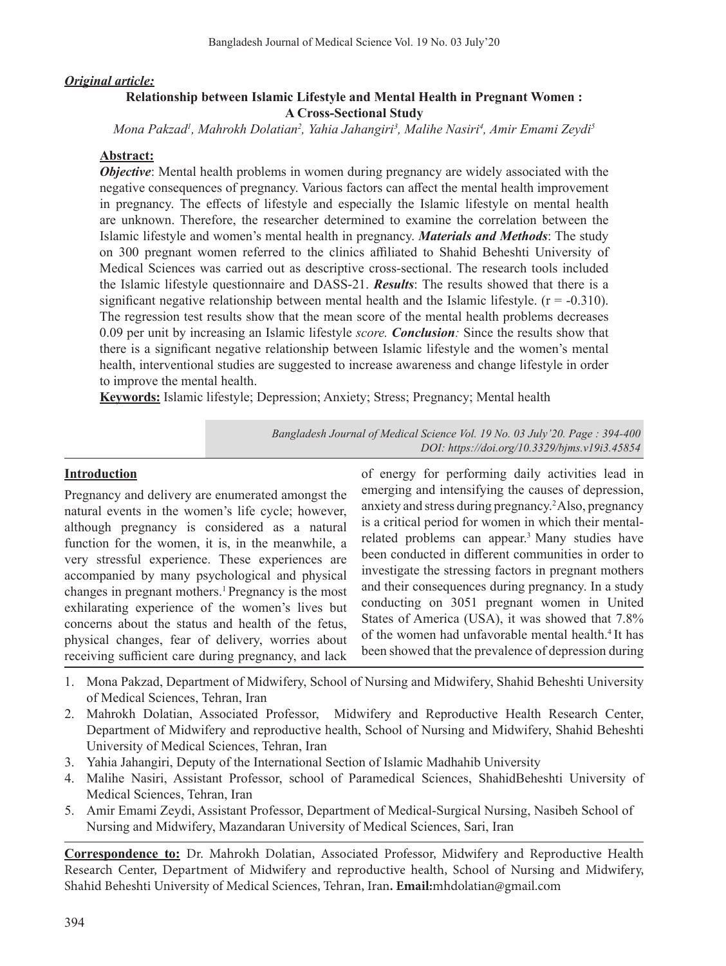### *Original article:*

# **Relationship between Islamic Lifestyle and Mental Health in Pregnant Women : A Cross-Sectional Study**

*Mona Pakzad1 , Mahrokh Dolatian2 , Yahia Jahangiri3 , Malihe Nasiri4 , Amir Emami Zeydi5*

### **Abstract:**

*Objective*: Mental health problems in women during pregnancy are widely associated with the negative consequences of pregnancy. Various factors can affect the mental health improvement in pregnancy. The effects of lifestyle and especially the Islamic lifestyle on mental health are unknown. Therefore, the researcher determined to examine the correlation between the Islamic lifestyle and women's mental health in pregnancy. *Materials and Methods*: The study on 300 pregnant women referred to the clinics affiliated to Shahid Beheshti University of Medical Sciences was carried out as descriptive cross-sectional. The research tools included the Islamic lifestyle questionnaire and DASS-21. *Results*: The results showed that there is a significant negative relationship between mental health and the Islamic lifestyle.  $(r = -0.310)$ . The regression test results show that the mean score of the mental health problems decreases 0.09 per unit by increasing an Islamic lifestyle *score. Conclusion:* Since the results show that there is a significant negative relationship between Islamic lifestyle and the women's mental health, interventional studies are suggested to increase awareness and change lifestyle in order to improve the mental health.

**Keywords:** Islamic lifestyle; Depression; Anxiety; Stress; Pregnancy; Mental health

*Bangladesh Journal of Medical Science Vol. 19 No. 03 July'20. Page : 394-400 DOI: https://doi.org/10.3329/bjms.v19i3.45854*

## **Introduction**

Pregnancy and delivery are enumerated amongst the natural events in the women's life cycle; however, although pregnancy is considered as a natural function for the women, it is, in the meanwhile, a very stressful experience. These experiences are accompanied by many psychological and physical changes in pregnant mothers.1 Pregnancy is the most exhilarating experience of the women's lives but concerns about the status and health of the fetus, physical changes, fear of delivery, worries about receiving sufficient care during pregnancy, and lack

of energy for performing daily activities lead in emerging and intensifying the causes of depression, anxiety and stress during pregnancy.<sup>2</sup>Also, pregnancy is a critical period for women in which their mentalrelated problems can appear.3 Many studies have been conducted in different communities in order to investigate the stressing factors in pregnant mothers and their consequences during pregnancy. In a study conducting on 3051 pregnant women in United States of America (USA), it was showed that 7.8% of the women had unfavorable mental health.<sup>4</sup> It has been showed that the prevalence of depression during

- 1. Mona Pakzad, Department of Midwifery, School of Nursing and Midwifery, Shahid Beheshti University of Medical Sciences, Tehran, Iran
- 2. Mahrokh Dolatian, Associated Professor, Midwifery and Reproductive Health Research Center, Department of Midwifery and reproductive health, School of Nursing and Midwifery, Shahid Beheshti University of Medical Sciences, Tehran, Iran
- 3. Yahia Jahangiri, Deputy of the International Section of Islamic Madhahib University
- 4. Malihe Nasiri, Assistant Professor, school of Paramedical Sciences, ShahidBeheshti University of Medical Sciences, Tehran, Iran
- 5. Amir Emami Zeydi, Assistant Professor, Department of Medical-Surgical Nursing, Nasibeh School of Nursing and Midwifery, Mazandaran University of Medical Sciences, Sari, Iran

**Correspondence to:** Dr. Mahrokh Dolatian, Associated Professor, Midwifery and Reproductive Health Research Center, Department of Midwifery and reproductive health, School of Nursing and Midwifery, Shahid Beheshti University of Medical Sciences, Tehran, Iran**. Email:**mhdolatian@gmail.com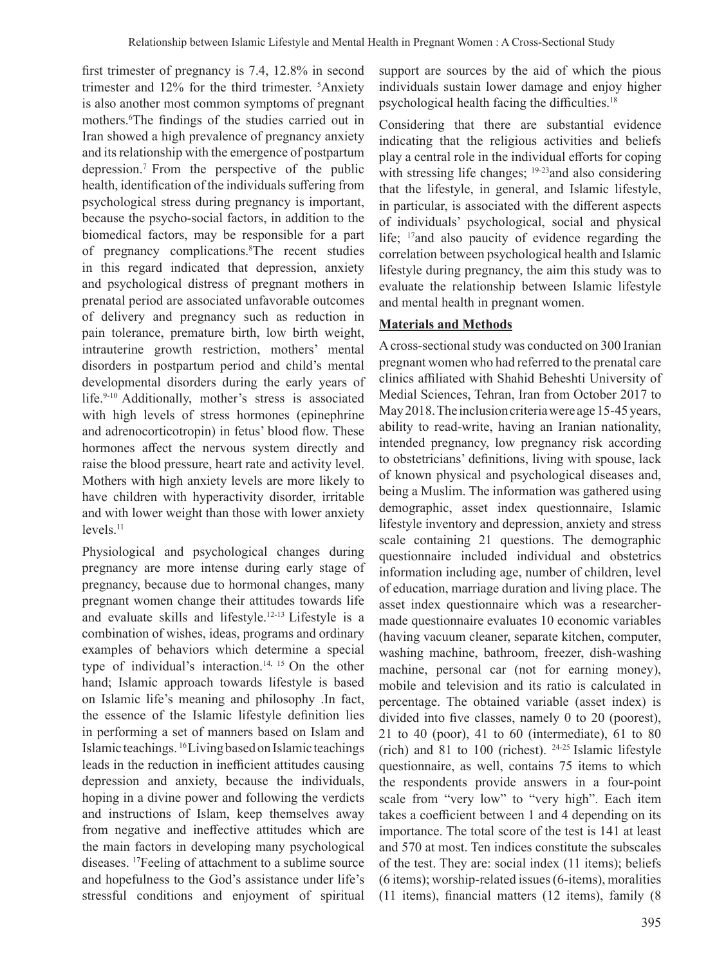first trimester of pregnancy is 7.4, 12.8% in second trimester and 12% for the third trimester. <sup>5</sup> Anxiety is also another most common symptoms of pregnant mothers.<sup>6</sup> The findings of the studies carried out in Iran showed a high prevalence of pregnancy anxiety and its relationship with the emergence of postpartum depression.7 From the perspective of the public health, identification of the individuals suffering from psychological stress during pregnancy is important, because the psycho-social factors, in addition to the biomedical factors, may be responsible for a part of pregnancy complications.<sup>8</sup>The recent studies in this regard indicated that depression, anxiety and psychological distress of pregnant mothers in prenatal period are associated unfavorable outcomes of delivery and pregnancy such as reduction in pain tolerance, premature birth, low birth weight, intrauterine growth restriction, mothers' mental disorders in postpartum period and child's mental developmental disorders during the early years of life.<sup>9-10</sup> Additionally, mother's stress is associated with high levels of stress hormones (epinephrine and adrenocorticotropin) in fetus' blood flow. These hormones affect the nervous system directly and raise the blood pressure, heart rate and activity level. Mothers with high anxiety levels are more likely to have children with hyperactivity disorder, irritable and with lower weight than those with lower anxiety  $levels.<sup>11</sup>$ 

Physiological and psychological changes during pregnancy are more intense during early stage of pregnancy, because due to hormonal changes, many pregnant women change their attitudes towards life and evaluate skills and lifestyle.12-13 Lifestyle is a combination of wishes, ideas, programs and ordinary examples of behaviors which determine a special type of individual's interaction.<sup>14, 15</sup> On the other hand; Islamic approach towards lifestyle is based on Islamic life's meaning and philosophy .In fact, the essence of the Islamic lifestyle definition lies in performing a set of manners based on Islam and Islamic teachings. <sup>16</sup>Living based on Islamic teachings leads in the reduction in inefficient attitudes causing depression and anxiety, because the individuals, hoping in a divine power and following the verdicts and instructions of Islam, keep themselves away from negative and ineffective attitudes which are the main factors in developing many psychological diseases. <sup>17</sup>Feeling of attachment to a sublime source and hopefulness to the God's assistance under life's stressful conditions and enjoyment of spiritual

support are sources by the aid of which the pious individuals sustain lower damage and enjoy higher psychological health facing the difficulties.18

Considering that there are substantial evidence indicating that the religious activities and beliefs play a central role in the individual efforts for coping with stressing life changes; <sup>19-23</sup> and also considering that the lifestyle, in general, and Islamic lifestyle, in particular, is associated with the different aspects of individuals' psychological, social and physical life; 17and also paucity of evidence regarding the correlation between psychological health and Islamic lifestyle during pregnancy, the aim this study was to evaluate the relationship between Islamic lifestyle and mental health in pregnant women.

# **Materials and Methods**

A cross-sectional study was conducted on 300 Iranian pregnant women who had referred to the prenatal care clinics affiliated with Shahid Beheshti University of Medial Sciences, Tehran, Iran from October 2017 to May 2018. The inclusion criteria were age 15-45 years, ability to read-write, having an Iranian nationality, intended pregnancy, low pregnancy risk according to obstetricians' definitions, living with spouse, lack of known physical and psychological diseases and, being a Muslim. The information was gathered using demographic, asset index questionnaire, Islamic lifestyle inventory and depression, anxiety and stress scale containing 21 questions. The demographic questionnaire included individual and obstetrics information including age, number of children, level of education, marriage duration and living place. The asset index questionnaire which was a researchermade questionnaire evaluates 10 economic variables (having vacuum cleaner, separate kitchen, computer, washing machine, bathroom, freezer, dish-washing machine, personal car (not for earning money), mobile and television and its ratio is calculated in percentage. The obtained variable (asset index) is divided into five classes, namely 0 to 20 (poorest), 21 to 40 (poor), 41 to 60 (intermediate), 61 to 80 (rich) and 81 to 100 (richest). 24-25 Islamic lifestyle questionnaire, as well, contains 75 items to which the respondents provide answers in a four-point scale from "very low" to "very high". Each item takes a coefficient between 1 and 4 depending on its importance. The total score of the test is 141 at least and 570 at most. Ten indices constitute the subscales of the test. They are: social index (11 items); beliefs (6 items); worship-related issues(6-items), moralities (11 items), financial matters (12 items), family (8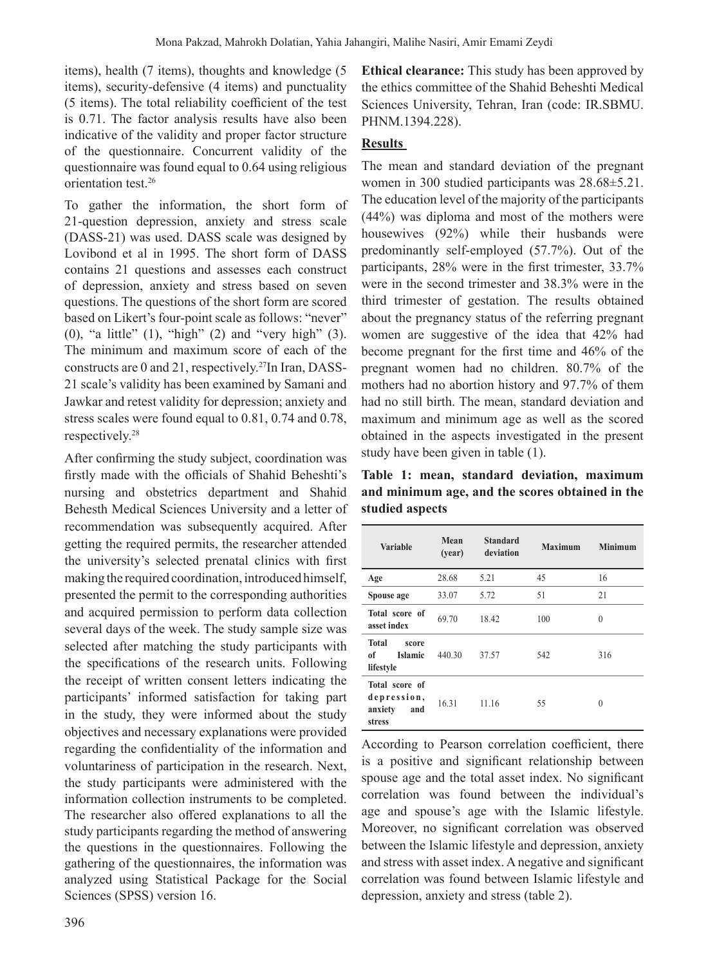items), health (7 items), thoughts and knowledge (5 items), security-defensive (4 items) and punctuality (5 items). The total reliability coefficient of the test is 0.71. The factor analysis results have also been indicative of the validity and proper factor structure of the questionnaire. Concurrent validity of the questionnaire was found equal to 0.64 using religious orientation test.<sup>26</sup>

To gather the information, the short form of 21-question depression, anxiety and stress scale (DASS-21) was used. DASS scale was designed by Lovibond et al in 1995. The short form of DASS contains 21 questions and assesses each construct of depression, anxiety and stress based on seven questions. The questions of the short form are scored based on Likert's four-point scale as follows: "never" (0), "a little" (1), "high" (2) and "very high" (3). The minimum and maximum score of each of the constructs are 0 and 21, respectively.<sup>27</sup>In Iran, DASS-21 scale's validity has been examined by Samani and Jawkar and retest validity for depression; anxiety and stress scales were found equal to 0.81, 0.74 and 0.78, respectively.28

After confirming the study subject, coordination was firstly made with the officials of Shahid Beheshti's nursing and obstetrics department and Shahid Behesth Medical Sciences University and a letter of recommendation was subsequently acquired. After getting the required permits, the researcher attended the university's selected prenatal clinics with first making the required coordination, introduced himself, presented the permit to the corresponding authorities and acquired permission to perform data collection several days of the week. The study sample size was selected after matching the study participants with the specifications of the research units. Following the receipt of written consent letters indicating the participants' informed satisfaction for taking part in the study, they were informed about the study objectives and necessary explanations were provided regarding the confidentiality of the information and voluntariness of participation in the research. Next, the study participants were administered with the information collection instruments to be completed. The researcher also offered explanations to all the study participants regarding the method of answering the questions in the questionnaires. Following the gathering of the questionnaires, the information was analyzed using Statistical Package for the Social Sciences (SPSS) version 16.

**Ethical clearance:** This study has been approved by the ethics committee of the Shahid Beheshti Medical Sciences University, Tehran, Iran (code: IR.SBMU. PHNM.1394.228).

## **Results**

The mean and standard deviation of the pregnant women in 300 studied participants was 28.68±5.21. The education level of the majority of the participants (44%) was diploma and most of the mothers were housewives (92%) while their husbands were predominantly self-employed (57.7%). Out of the participants, 28% were in the first trimester, 33.7% were in the second trimester and 38.3% were in the third trimester of gestation. The results obtained about the pregnancy status of the referring pregnant women are suggestive of the idea that 42% had become pregnant for the first time and 46% of the pregnant women had no children. 80.7% of the mothers had no abortion history and 97.7% of them had no still birth. The mean, standard deviation and maximum and minimum age as well as the scored obtained in the aspects investigated in the present study have been given in table (1).

**Table 1: mean, standard deviation, maximum and minimum age, and the scores obtained in the studied aspects** 

| <b>Variable</b>                                            | Mean<br>(year) | <b>Standard</b><br>deviation | <b>Maximum</b> | <b>Minimum</b> |
|------------------------------------------------------------|----------------|------------------------------|----------------|----------------|
| Age                                                        | 28.68          | 5.21                         | 45             | 16             |
| Spouse age                                                 | 33.07          | 5.72                         | 51             | 21             |
| Total score of<br>asset index                              | 69.70          | 18.42                        | 100            | $\theta$       |
| <b>Total</b><br>score<br><b>Islamic</b><br>of<br>lifestyle | 440.30         | 37.57                        | 542            | 316            |
| Total score of<br>depression,<br>anxiety<br>and<br>stress  | 16.31          | 11.16                        | 55             | $\Omega$       |

According to Pearson correlation coefficient, there is a positive and significant relationship between spouse age and the total asset index. No significant correlation was found between the individual's age and spouse's age with the Islamic lifestyle. Moreover, no significant correlation was observed between the Islamic lifestyle and depression, anxiety and stress with asset index.Anegative and significant correlation was found between Islamic lifestyle and depression, anxiety and stress (table 2).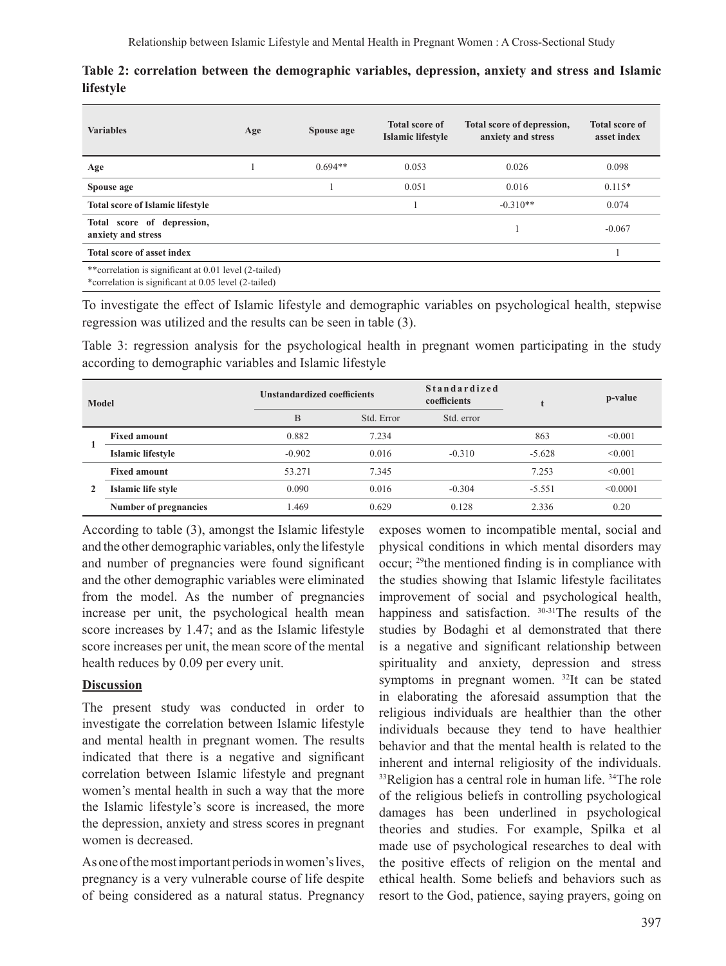| <b>Variables</b>                                       | Age | Spouse age | <b>Total score of</b><br>Islamic lifestyle | Total score of depression,<br>anxiety and stress | <b>Total score of</b><br>asset index |  |
|--------------------------------------------------------|-----|------------|--------------------------------------------|--------------------------------------------------|--------------------------------------|--|
| Age                                                    |     | $0.694**$  | 0.053                                      | 0.026                                            | 0.098                                |  |
| Spouse age                                             |     |            | 0.051                                      | 0.016                                            | $0.115*$                             |  |
| <b>Total score of Islamic lifestyle</b>                |     |            |                                            | $-0.310**$                                       | 0.074                                |  |
| Total score of depression,<br>anxiety and stress       |     |            |                                            |                                                  | $-0.067$                             |  |
| Total score of asset index                             |     |            |                                            |                                                  |                                      |  |
| ** correlation is significant at 0.01 level (2-tailed) |     |            |                                            |                                                  |                                      |  |

**Table 2: correlation between the demographic variables, depression, anxiety and stress and Islamic lifestyle**

\*correlation is significant at 0.05 level (2-tailed)

To investigate the effect of Islamic lifestyle and demographic variables on psychological health, stepwise regression was utilized and the results can be seen in table (3).

Table 3: regression analysis for the psychological health in pregnant women participating in the study according to demographic variables and Islamic lifestyle

| Model |                          | <b>Unstandardized coefficients</b> |            | <b>Standardized</b><br>coefficients |          | p-value  |
|-------|--------------------------|------------------------------------|------------|-------------------------------------|----------|----------|
|       |                          | B                                  | Std. Error | Std. error                          |          |          |
|       | <b>Fixed amount</b>      | 0.882                              | 7.234      |                                     | 863      | < 0.001  |
|       | <b>Islamic lifestyle</b> | $-0.902$                           | 0.016      | $-0.310$                            | $-5.628$ | < 0.001  |
| 2     | <b>Fixed amount</b>      | 53.271                             | 7.345      |                                     | 7.253    | < 0.001  |
|       | Islamic life style       | 0.090                              | 0.016      | $-0.304$                            | $-5.551$ | < 0.0001 |
|       | Number of pregnancies    | 1.469                              | 0.629      | 0.128                               | 2.336    | 0.20     |

According to table (3), amongst the Islamic lifestyle and the other demographic variables, only the lifestyle and number of pregnancies were found significant and the other demographic variables were eliminated from the model. As the number of pregnancies increase per unit, the psychological health mean score increases by 1.47; and as the Islamic lifestyle score increases per unit, the mean score of the mental health reduces by 0.09 per every unit.

### **Discussion**

The present study was conducted in order to investigate the correlation between Islamic lifestyle and mental health in pregnant women. The results indicated that there is a negative and significant correlation between Islamic lifestyle and pregnant women's mental health in such a way that the more the Islamic lifestyle's score is increased, the more the depression, anxiety and stress scores in pregnant women is decreased.

As one of the most important periods in women's lives, pregnancy is a very vulnerable course of life despite of being considered as a natural status. Pregnancy

exposes women to incompatible mental, social and physical conditions in which mental disorders may occur; <sup>29</sup>the mentioned finding is in compliance with the studies showing that Islamic lifestyle facilitates improvement of social and psychological health, happiness and satisfaction. 30-31The results of the studies by Bodaghi et al demonstrated that there is a negative and significant relationship between spirituality and anxiety, depression and stress symptoms in pregnant women. <sup>32</sup>It can be stated in elaborating the aforesaid assumption that the religious individuals are healthier than the other individuals because they tend to have healthier behavior and that the mental health is related to the inherent and internal religiosity of the individuals. 33Religion has a central role in human life. 34The role of the religious beliefs in controlling psychological damages has been underlined in psychological theories and studies. For example, Spilka et al made use of psychological researches to deal with the positive effects of religion on the mental and ethical health. Some beliefs and behaviors such as resort to the God, patience, saying prayers, going on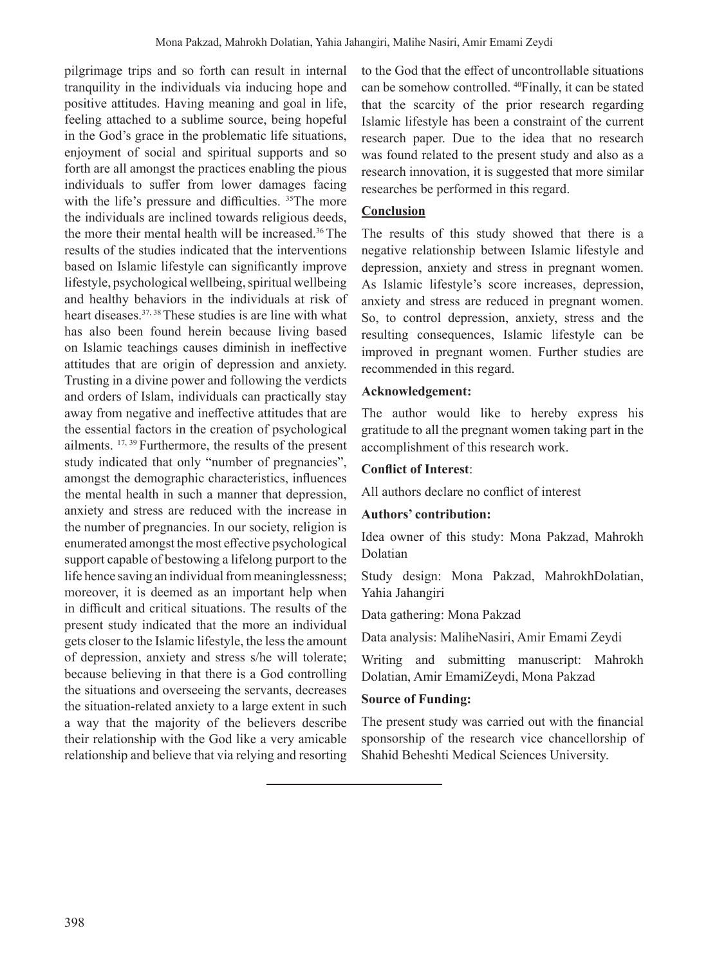pilgrimage trips and so forth can result in internal tranquility in the individuals via inducing hope and positive attitudes. Having meaning and goal in life, feeling attached to a sublime source, being hopeful in the God's grace in the problematic life situations, enjoyment of social and spiritual supports and so forth are all amongst the practices enabling the pious individuals to suffer from lower damages facing with the life's pressure and difficulties. <sup>35</sup>The more the individuals are inclined towards religious deeds, the more their mental health will be increased.36 The results of the studies indicated that the interventions based on Islamic lifestyle can significantly improve lifestyle, psychological wellbeing, spiritual wellbeing and healthy behaviors in the individuals at risk of heart diseases.<sup>37, 38</sup> These studies is are line with what has also been found herein because living based on Islamic teachings causes diminish in ineffective attitudes that are origin of depression and anxiety. Trusting in a divine power and following the verdicts and orders of Islam, individuals can practically stay away from negative and ineffective attitudes that are the essential factors in the creation of psychological ailments. 17, <sup>39</sup> Furthermore, the results of the present study indicated that only "number of pregnancies", amongst the demographic characteristics, influences the mental health in such a manner that depression, anxiety and stress are reduced with the increase in the number of pregnancies. In our society, religion is enumerated amongst the most effective psychological support capable of bestowing a lifelong purport to the life hence saving an individual from meaninglessness; moreover, it is deemed as an important help when in difficult and critical situations. The results of the present study indicated that the more an individual gets closer to the Islamic lifestyle, the less the amount of depression, anxiety and stress s/he will tolerate; because believing in that there is a God controlling the situations and overseeing the servants, decreases the situation-related anxiety to a large extent in such a way that the majority of the believers describe their relationship with the God like a very amicable relationship and believe that via relying and resorting

to the God that the effect of uncontrollable situations can be somehow controlled. 40Finally, it can be stated that the scarcity of the prior research regarding Islamic lifestyle has been a constraint of the current research paper. Due to the idea that no research was found related to the present study and also as a research innovation, it is suggested that more similar researches be performed in this regard.

### **Conclusion**

The results of this study showed that there is a negative relationship between Islamic lifestyle and depression, anxiety and stress in pregnant women. As Islamic lifestyle's score increases, depression, anxiety and stress are reduced in pregnant women. So, to control depression, anxiety, stress and the resulting consequences, Islamic lifestyle can be improved in pregnant women. Further studies are recommended in this regard.

#### **Acknowledgement:**

The author would like to hereby express his gratitude to all the pregnant women taking part in the accomplishment of this research work.

#### **Conflict of Interest**:

All authors declare no conflict of interest

#### **Authors' contribution:**

Idea owner of this study: Mona Pakzad, Mahrokh Dolatian

Study design: Mona Pakzad, MahrokhDolatian, Yahia Jahangiri

Data gathering: Mona Pakzad

Data analysis: MaliheNasiri, Amir Emami Zeydi

Writing and submitting manuscript: Mahrokh Dolatian, Amir EmamiZeydi, Mona Pakzad

#### **Source of Funding:**

The present study was carried out with the financial sponsorship of the research vice chancellorship of Shahid Beheshti Medical Sciences University.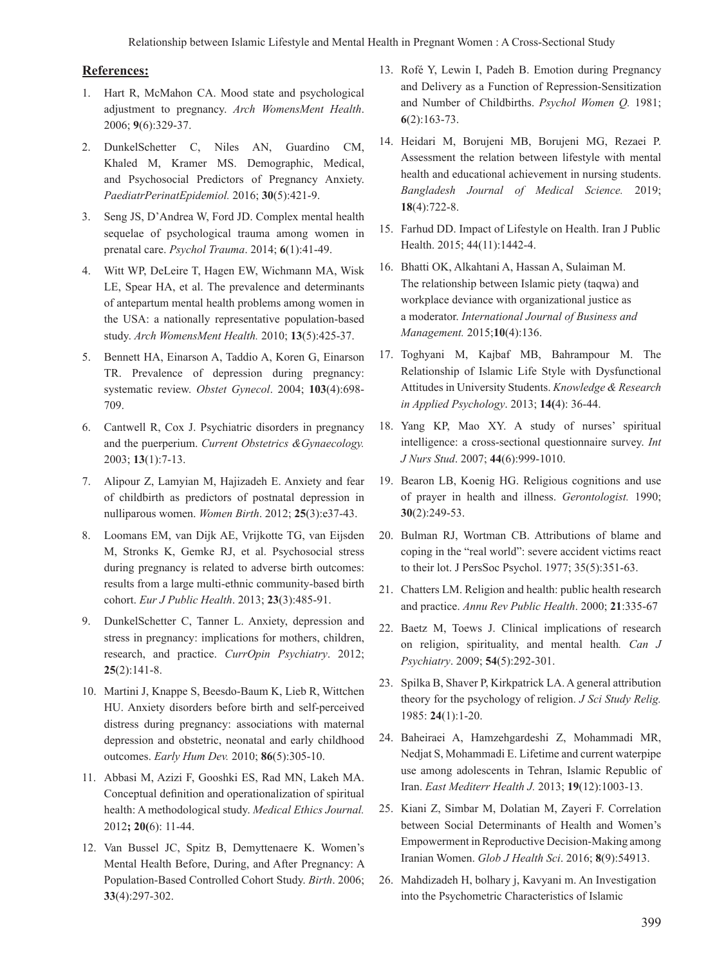#### **References:**

- 1. Hart R, McMahon CA. Mood state and psychological adjustment to pregnancy. *Arch WomensMent Health*. 2006; **9**(6):329-37.
- 2. DunkelSchetter C, Niles AN, Guardino CM, Khaled M, Kramer MS. Demographic, Medical, and Psychosocial Predictors of Pregnancy Anxiety. *PaediatrPerinatEpidemiol.* 2016; **30**(5):421-9.
- 3. Seng JS, D'Andrea W, Ford JD. Complex mental health sequelae of psychological trauma among women in prenatal care. *Psychol Trauma*. 2014; **6**(1):41-49.
- 4. Witt WP, DeLeire T, Hagen EW, Wichmann MA, Wisk LE, Spear HA, et al. The prevalence and determinants of antepartum mental health problems among women in the USA: a nationally representative population-based study. *Arch WomensMent Health.* 2010; **13**(5):425-37.
- 5. Bennett HA, Einarson A, Taddio A, Koren G, Einarson TR. Prevalence of depression during pregnancy: systematic review. *Obstet Gynecol*. 2004; **103**(4):698- 709.
- 6. Cantwell R, Cox J. Psychiatric disorders in pregnancy and the puerperium. *Current Obstetrics &Gynaecology.* 2003; **13**(1):7-13.
- 7. Alipour Z, Lamyian M, Hajizadeh E. Anxiety and fear of childbirth as predictors of postnatal depression in nulliparous women. *Women Birth*. 2012; **25**(3):e37-43.
- 8. Loomans EM, van Dijk AE, Vrijkotte TG, van Eijsden M, Stronks K, Gemke RJ, et al. Psychosocial stress during pregnancy is related to adverse birth outcomes: results from a large multi-ethnic community-based birth cohort. *Eur J Public Health*. 2013; **23**(3):485-91.
- 9. DunkelSchetter C, Tanner L. Anxiety, depression and stress in pregnancy: implications for mothers, children, research, and practice. *CurrOpin Psychiatry*. 2012; **25**(2):141-8.
- 10. Martini J, Knappe S, Beesdo-Baum K, Lieb R, Wittchen HU. Anxiety disorders before birth and self-perceived distress during pregnancy: associations with maternal depression and obstetric, neonatal and early childhood outcomes. *Early Hum Dev.* 2010; **86**(5):305-10.
- 11. Abbasi M, Azizi F, Gooshki ES, Rad MN, Lakeh MA. Conceptual definition and operationalization of spiritual health: A methodological study. *Medical Ethics Journal.* 2012**; 20(**6): 11-44.
- 12. Van Bussel JC, Spitz B, Demyttenaere K. Women's Mental Health Before, During, and After Pregnancy: A Population‐Based Controlled Cohort Study. *Birth*. 2006; **33**(4):297-302.
- 13. Rofé Y, Lewin I, Padeh B. Emotion during Pregnancy and Delivery as a Function of Repression-Sensitization and Number of Childbirths. *Psychol Women Q.* 1981; **6**(2):163-73.
- 14. Heidari M, Borujeni MB, Borujeni MG, Rezaei P. Assessment the relation between lifestyle with mental health and educational achievement in nursing students. *Bangladesh Journal of Medical Science.* 2019; **18**(4):722-8.
- 15. Farhud DD. Impact of Lifestyle on Health. Iran J Public Health. 2015; 44(11):1442-4.
- 16. Bhatti OK, Alkahtani A, Hassan A, Sulaiman M. The relationship between Islamic piety (taqwa) and workplace deviance with organizational justice as a moderator. *International Journal of Business and Management.* 2015;**10**(4):136.
- 17. Toghyani M, Kajbaf MB, Bahrampour M. The Relationship of Islamic Life Style with Dysfunctional Attitudes in University Students. *Knowledge & Research in Applied Psychology*. 2013; **14(**4): 36-44.
- 18. Yang KP, Mao XY. A study of nurses' spiritual intelligence: a cross-sectional questionnaire survey. *Int J Nurs Stud*. 2007; **44**(6):999-1010.
- 19. Bearon LB, Koenig HG. Religious cognitions and use of prayer in health and illness. *Gerontologist.* 1990; **30**(2):249-53.
- 20. Bulman RJ, Wortman CB. Attributions of blame and coping in the "real world": severe accident victims react to their lot. J PersSoc Psychol. 1977; 35(5):351-63.
- 21. Chatters LM. Religion and health: public health research and practice. *Annu Rev Public Health*. 2000; **21**:335-67
- 22. Baetz M, Toews J. Clinical implications of research on religion, spirituality, and mental health*. Can J Psychiatry*. 2009; **54**(5):292-301.
- 23. Spilka B, Shaver P, Kirkpatrick LA. A general attribution theory for the psychology of religion. *J Sci Study Relig.* 1985: **24**(1):1-20.
- 24. Baheiraei A, Hamzehgardeshi Z, Mohammadi MR, Nedjat S, Mohammadi E. Lifetime and current waterpipe use among adolescents in Tehran, Islamic Republic of Iran. *East Mediterr Health J.* 2013; **19**(12):1003-13.
- 25. Kiani Z, Simbar M, Dolatian M, Zayeri F. Correlation between Social Determinants of Health and Women's Empowerment in Reproductive Decision-Making among Iranian Women. *Glob J Health Sci*. 2016; **8**(9):54913.
- 26. Mahdizadeh H, bolhary j, Kavyani m. An Investigation into the Psychometric Characteristics of Islamic